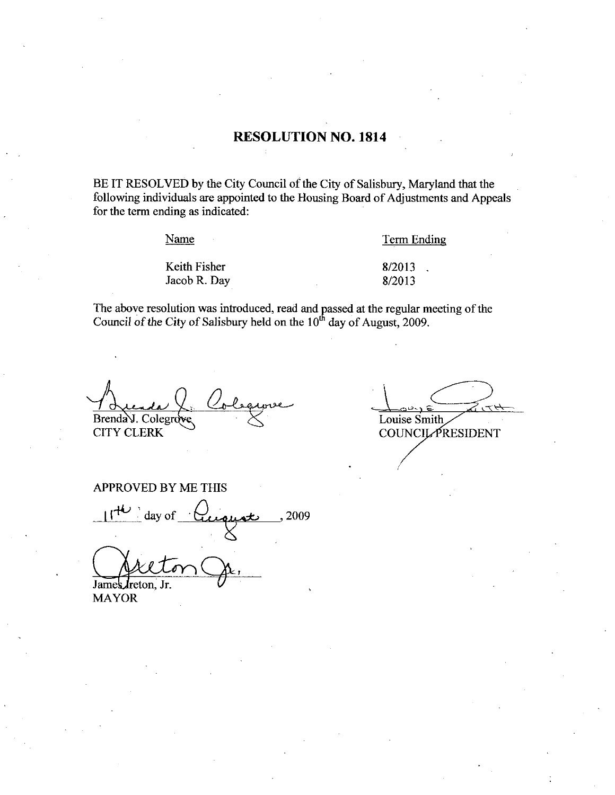### RESOLUTION NO. 1814

BE IT RESOLVED by the City Council of the City of Salisbury, Maryland that the following individuals are appointed to the Housing Board of Adjustments and Appeals for the term ending as indicated

Name

Keith Fisher

Term Ending

Jacob R. Day

Term E<br>8/2013<br>8/2013 8/2013<br>8/2013

The above resolution was introduced, read and passed at the regular meeting of the Council of the City of Salisbury held on the  $10<sup>th</sup>$  day of August, 2009.

Brenda J. Colegrove CITY CLERK

Louise Smith **COUNCIL PRESIDENT** 

APPROVED BY ME THIS

PPROVED BY ME THIS<br> $11^{40}$  day of  $\frac{1}{2009}$ 

James *I*reton. Jr.

MAYOR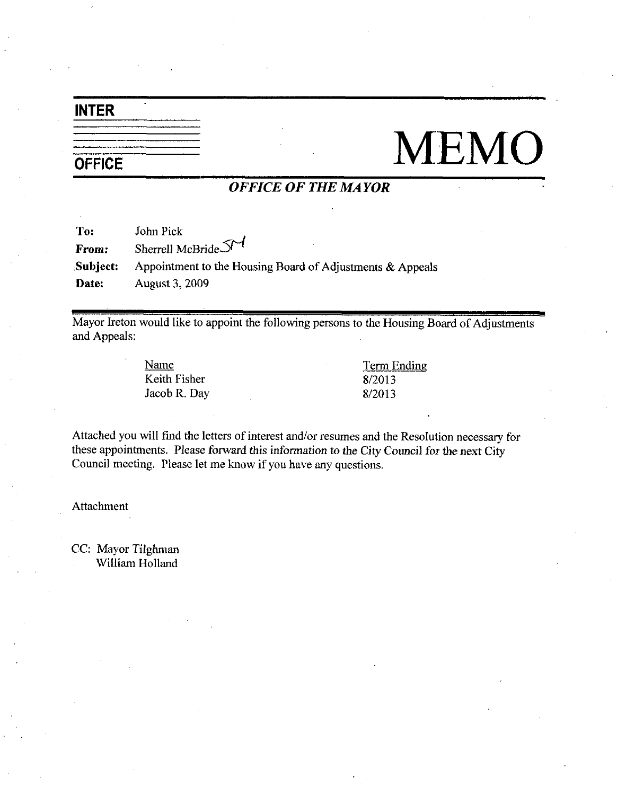### INTER

# $\frac{1}{\text{OFFICE}}$   $\frac{1}{\text{MEMO}}$

### OFFICE OF THE MAYOR

To: John Pick From: Sherrell McBride  $S<sup>1</sup>$ Subject: Appointment to the Housing Board of Adjustments  $&$  Appeals Date: August 3, 2009

Mayor Ireton would like to appoint the following persons to the Housing Board of Adjustments and Appeals

> Name Keith Fisher Jacob R. Day

Term Ending <u>Term F</u><br>8/2013<br>8/2013 Term F<br>8/2013<br>8/2013

Attached you will find the letters of interest and/or resumes and the Resolution necessary for these appointments. Please forward this information to the City Council for the next City Council meeting. Please let me know if you have any questions.

Attachment

CC: Mayor Tilghman William Holland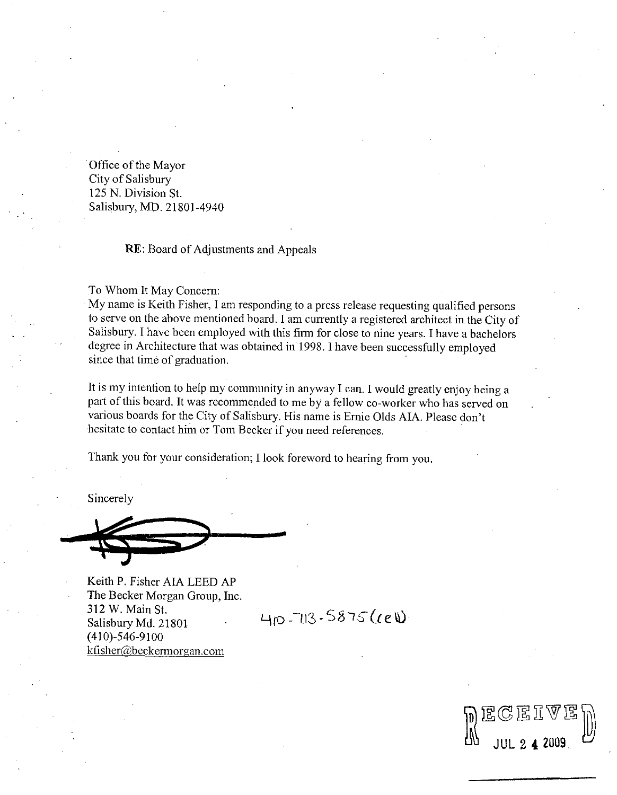Office of the Mayor City of Salisbury 125 N. Division St. Salisbury, MD. 21801-4940

### **RE:** Board of Adjustments and Appeals

To Whom It May Concern

My name is Keith Fisher, I am responding to a press release requesting qualified persons to serve on the above mentioned board. I am currently a registered architect in the City of Salisbury. I have been employed with this firm for close to nine years. I have a bachelors degree in Architecture that was obtained in 1998. I have been successfully employed since that time of graduation.

It is my intention to help my community in anyway I can. I would greatly enjoy being a It is my intention to help my community in anyway I can. I would greatly enjoy being a<br>part of this board. It was recommended to me by a fellow co-worker who has served on<br>various boards for the City of Salisbury. His name degree in Architecture that was obtained in 1998. I have been successfully employe since that time of graduation.<br>It is my intention to help my community in anyway I can. I would greatly enjoy being part of this board. It various boards for the City of Salisbury. His name is Ernie Olds AIA. Please don't hesitate to contact him or Tom Becker if you need references.

Thank you for your consideration; I look foreword to hearing from you.

Sincerely

Keith P. Fisher AIA LEED AP The Becker Morgan Group, Inc. 312 W. Main St. Salisbury Md. 21801  $(410)$ -546-9100<br>kfisher@beckermorgan.com Keith P. Fisher AIA LEED.<br>The Becker Morgan Group,<br>312 W. Main St.<br>Salisbury Md. 21801<br>(410)-546-9100<br>kfisher@beckermorgan.com

 $410 - 713.5875(ceW)$ 

 $\begin{CD} \mathbb{P} & \mathbb{E} \mathbb{C} \mathbb{E} \mathbb{I} \mathbb{V} \mathbb{E} \mathbb{D} \ \mathbb{D} & \text{and} \end{CD}$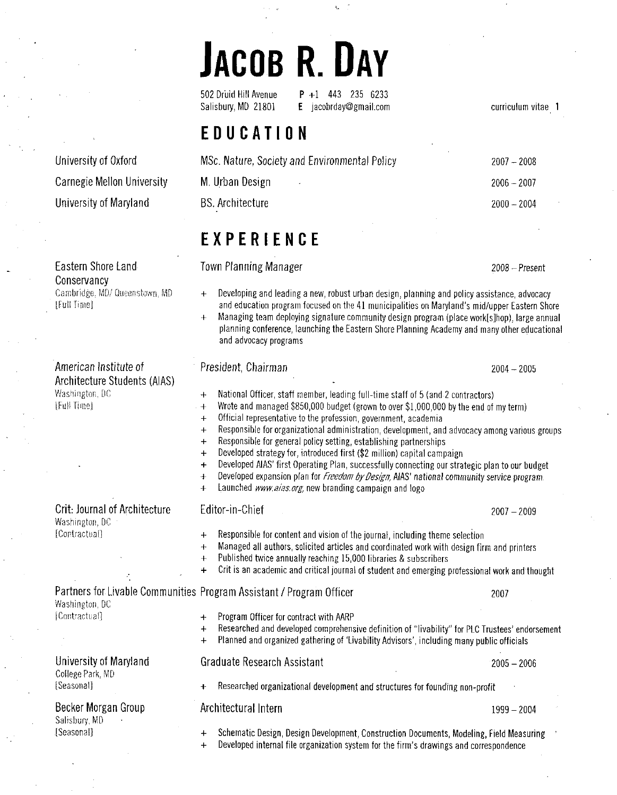# JACOB R. DAY

502 Druid Hill Avenue  $P + 1$  443 235 6233<br>Salisbury, MD 21801 **E** iacobrday@gmail.com  $E$  jacobrday@gmail.com

EDUCATION

| MSc. Nature, Society and Environmental Policy | $2007 - 2008$ |
|-----------------------------------------------|---------------|
| M. Urban Design<br>$\mathbf{w}$               | $2006 - 2007$ |
| <b>BS.</b> Architecture                       | $2000 - 2004$ |

curriculum vitae <sup>1</sup>

EXPERIENCE

Eastern Shore Land **Eastern Shore Candidates** Town Planning Manager **Construction Construction** 

- Cambridge, MD/ Queenstown, MD  $\quad$   $\quad$   $\quad$  Developing and leading a new, robust urban design, planning and policy assistance, advocacy and education program focused on the 41 municipalities on Maryland's mid/upper Easter Lastern Shore Land Town Planning Manager 2008 - Present<br>Conservancy 2008 - Present<br>Cambridge, MD/ Queenstown, MD + Developing and leading a new, robust urban design, planning and policy assistance, advocacy<br>Light Time deve Town Planning Manager<br>+ Developing and leading a new, robust urban design, planning and policy assistance, advocacy<br>and education program focused on the 41 municipalities on Maryland's mid/upper Eastern Shore<br>+ Managing te
	- planning conference launching the Eastern Shore Planning Academy and many other educational and advocacy programs

President, Chairman 2004 - 2005 Afgilltecti<br>Washingtol<br>[Full Time]  $+$ National Officer, staff member, leading full-time staff of 5 (and 2 contractors) Wrote and managed \$850,000 budget (grown to over \$1,000,000 by the end of my term)  $+$ Official representative to the profession, government, academia  $\ddot{}$ Responsible for organizational administration development and advocacy among various groups  $+$ Responsible for general policy setting, establishing partnerships  $\ddot{+}$ Developed strategy for, introduced first (\$2 million) capital campaign The University of Altowards and the University Connecting our strategic plan to our buddle<br>
The University Connecting our strategic plan to our buddle<br>
The University Connecting our strategic plan to our buddle<br>
The Univer Developed AIAS' first Operating Plan, successfully connecting our strategic plan to our budget Developed AIAS, 1881 Operating Fran, successfully collitect<br>Developed expansion plan for *Freedom by Design,* AIAS' na<br>Launched *www.aias.org,* new branding campaign and logo Developed expansion plan for *Freedom by Design,* AIAS' national community service program Responsible for content and vision of the journal, including them<br>Managed all authors, solicited articles and coordinated work with<br>Published twice annually reaching 15,000 libraries & subscribers<br>Crit is an academic and c [Contractual] Responsible for content and vision of the journal, including theme selection<br>Managed all authors, solicited articles and coordinated work with design firm and printe<br>Published twice annually reaching 15,000 libraries & sub Responsible for content and vision of the journal, including theme selection Managed all authors, solicited articles and coordinated work with design firm and printers<br>Published twice annually reaching 15,000 libraries & subscribers  $+$  $\ddot{+}$ Crit is an academic and critical journal of student and emerging professional work and thought  $\ddot{+}$ Partners for Livable Communities Program Assistant / Program Officer 2007 Washington, DC [Contractual]  $\overline{P}$  Program Officer for contract with AARP Researched and developed comprehensive definition of "livability" for PLC Trustees' endorsement<br>Planned and organized gathering of 'Livability Advisors', including many public officials  $\ddot{+}$ University of Maryland Graduate Research Assistant 2005 - 2006 College Park MD [Seasonal] Researched organizational development and structures for founding non profit

Architectural Intern 1999 - 2004

Schematic Design, Design Development, Construction Documents, Modeling, Field Measuring Schematic Design, Design Development, Construction Doo<br>Developed internal file organization system for the firm's

Developed internal file organization system for the firm's drawings and correspondence

University of Oxford Carnegie Mellon University University of Maryland

American Institute of Architecture Students (AIAS) l4rashington DG

Conservancy<br>Cambridge, MD/ Queenstown, MD

Crit: Journal of Architecture Washington DC

Becker Morgan Group

Salisbury, MD Seasonal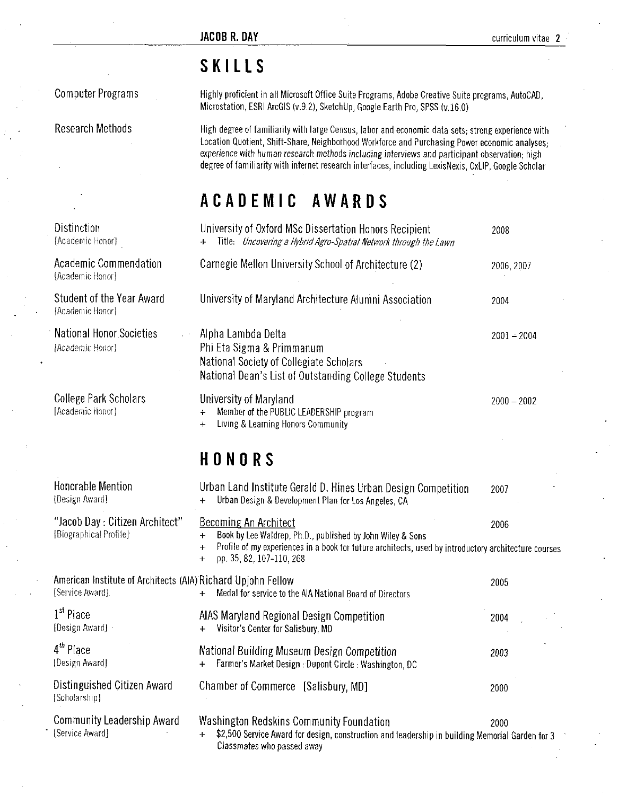## SKILLS

Computer Programs Highly proficient in all Microsoft Office Suite Programs, Adobe Creative Suite programs, AutoCAD UT THE U<br>Highly proficient in all Microsoft Office Suite Programs, Adobe Creative Suite<br>Microstation, ESRI ArcGIS (v.9.2), SketchUp, Google Earth Pro, SPSS (v.16.0)

Research Methods High degree of familiarity with large Census, labor and economic data sets; strong experience with Location Quotient, Shift-Share, Neighborhood Workforce and Purchasing Power economic analyses; experience with human research methods including interviews and participant observation; high degree of familiarity with internet research interfaces, including LexisNexis, OxLIP, Google Scholar

|                                                     | ACADEMIC AWARDS                                                                                                                                    |               |
|-----------------------------------------------------|----------------------------------------------------------------------------------------------------------------------------------------------------|---------------|
| Distinction<br>[Academic Honor]                     | University of Oxford MSc Dissertation Honors Recipient<br>Title: Uncovering a Hybrid Agro-Spatial Network through the Lawn                         | 2008          |
| Academic Commendation<br>[Academic Honor]           | Carnegie Mellon University School of Architecture (2)                                                                                              | 2006 2007     |
| Student of the Year Award<br>[Academic Honor]       | University of Maryland Architecture Alumni Association                                                                                             | 2004          |
| <b>National Honor Societies</b><br>[Academic Honor] | Alpha Lambda Delta<br>Phi Eta Sigma & Primmanum<br>National Society of Collegiate Scholars<br>National Dean's List of Outstanding College Students | $2001 - 2004$ |
| <b>College Park Scholars</b><br>[Academic Honor]    | University of Maryland<br>Member of the PUBLIC LEADERSHIP program<br>Living & Learning Honors Community<br>$+$                                     | $2000 - 2002$ |

## HONORS

|                                                                                 | mativilar obolcty of collegiate ochilials<br>National Dean's List of Outstanding College Students                                                                                                                                                                  |               |
|---------------------------------------------------------------------------------|--------------------------------------------------------------------------------------------------------------------------------------------------------------------------------------------------------------------------------------------------------------------|---------------|
| <b>College Park Scholars</b><br>[Academic Honor]                                | University of Maryland<br>Member of the PUBLIC LEADERSHIP program<br>$+$<br>Living & Learning Honors Community<br>$+$                                                                                                                                              | $2000 - 2002$ |
|                                                                                 | HONORS                                                                                                                                                                                                                                                             |               |
| <b>Honorable Mention</b><br>[Design Award]                                      | Urban Land Institute Gerald D. Hines Urban Design Competition<br>Urban Design & Development Plan for Los Angeles, CA                                                                                                                                               | 2007          |
| "Jacob Day: Citizen Architect"<br>[Biographical Profile]                        | <b>Becoming An Architect</b><br>Book by Lee Waldrep, Ph.D., published by John Wiley & Sons<br>$^{+}$<br>Profile of my experiences in a book for future architects, used by introductory architecture courses<br>$\ddot{}$<br>pp. 35, 82, 107-110, 268<br>$\ddot{}$ | 2006          |
| American Institute of Architects (AIA) Richard Upjohn Fellow<br>[Service Award] | Medal for service to the AIA National Board of Directors<br>$+$                                                                                                                                                                                                    | 2005          |
| 1 <sup>st</sup> Place<br>[Design Award]                                         | AIAS Maryland Regional Design Competition<br>Visitor's Center for Salisbury, MD<br>$+$                                                                                                                                                                             | 2004          |
| 4 <sup>th</sup> Place<br>[Design Award]                                         | National Building Museum Design Competition<br>Farmer's Market Design : Dupont Circle : Washington, DC<br>$\ddot{}$                                                                                                                                                | 2003          |
| Distinguished Citizen Award<br>[Scholarship]                                    | Chamber of Commerce [Salisbury, MD]                                                                                                                                                                                                                                | 2000          |
| <b>Community Leadership Award</b><br>[Service Award]                            | Washington Redskins Community Foundation<br>\$2,500 Service Award for design, construction and leadership in building Memorial Garden for 3<br>4<br>Classmates who passed away                                                                                     | 2000          |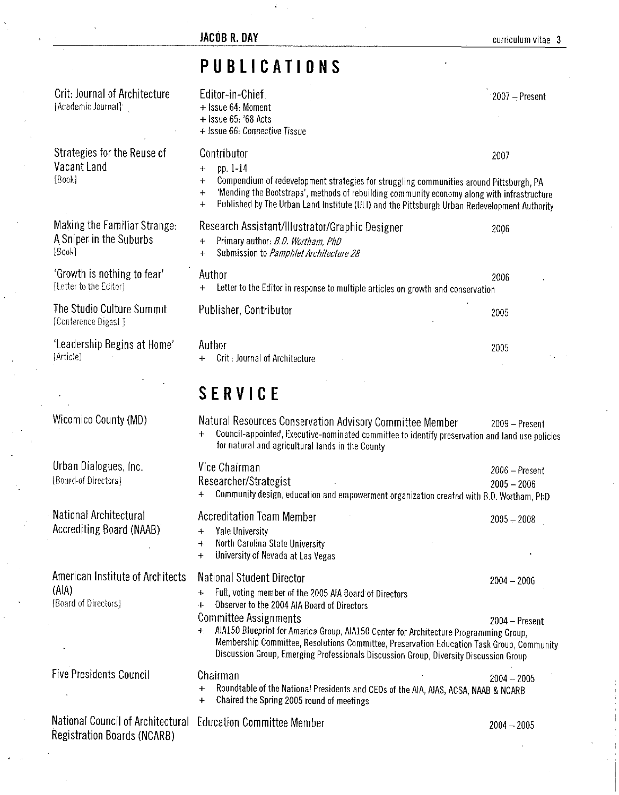|                                                                                                    | ÷                                                                                                                                                                                                                                                                                                                                                                                                                                                                                       |                                   |
|----------------------------------------------------------------------------------------------------|-----------------------------------------------------------------------------------------------------------------------------------------------------------------------------------------------------------------------------------------------------------------------------------------------------------------------------------------------------------------------------------------------------------------------------------------------------------------------------------------|-----------------------------------|
|                                                                                                    | <b>JACOB R. DAY</b>                                                                                                                                                                                                                                                                                                                                                                                                                                                                     | curriculum vitae 3                |
|                                                                                                    | PUBLICATIONS                                                                                                                                                                                                                                                                                                                                                                                                                                                                            |                                   |
| <b>Crit: Journal of Architecture</b><br>[Academic Journal] <sup>*</sup>                            | Editor-in-Chief<br>+ Issue 64: Moment<br>$+$ Issue 65: '68 Acts<br>+ Issue 66: Connective Tissue                                                                                                                                                                                                                                                                                                                                                                                        | $2007 -$ Present                  |
| Strategies for the Reuse of<br>Vacant Land<br>[Book]                                               | Contributor<br>pp. 1-14<br>$\div$<br>Compendium of redevelopment strategies for struggling communities around Pittsburgh, PA<br>$\ddot{}$<br>'Mending the Bootstraps', methods of rebuilding community economy along with infrastructure<br>$\ddot{}$<br>Published by The Urban Land Institute (ULI) and the Pittsburgh Urban Redevelopment Authority<br>$\ddot{}$                                                                                                                      | 2007                              |
| Making the Familiar Strange:<br>A Sniper in the Suburbs<br>[Book]                                  | Research Assistant/Illustrator/Graphic Designer<br>Primary author: B.D. Wortham, PhD<br>$\div$<br>Submission to Pamphlet Architecture 28<br>$+$                                                                                                                                                                                                                                                                                                                                         | 2006                              |
| 'Growth is nothing to fear'<br>[Letter to the Editor]                                              | Author<br>Letter to the Editor in response to multiple articles on growth and conservation<br>$+$                                                                                                                                                                                                                                                                                                                                                                                       | 2006                              |
| The Studio Culture Summit<br>[Conference Digest]                                                   | Publisher, Contributor                                                                                                                                                                                                                                                                                                                                                                                                                                                                  | 2005                              |
| 'Leadership Begins at Home'<br>[Article]                                                           | Author<br>Crit : Journal of Architecture                                                                                                                                                                                                                                                                                                                                                                                                                                                | 2005                              |
|                                                                                                    | <b>SERVICE</b>                                                                                                                                                                                                                                                                                                                                                                                                                                                                          |                                   |
| Wicomico County (MD)                                                                               | Natural Resources Conservation Advisory Committee Member<br>Council-appointed, Executive-nominated committee to identify preservation and land use policies<br>$+$<br>for natural and agricultural lands in the County                                                                                                                                                                                                                                                                  | 2009 - Present                    |
| Urban Dialogues, Inc.<br>[Board-of Directors]                                                      | Vice Chairman<br>Researcher/Strategist<br>Community design, education and empowerment organization created with B.D. Wortham, PhD<br>$\ddotmark$                                                                                                                                                                                                                                                                                                                                        | $2006 -$ Present<br>$2005 - 2006$ |
| National Architectural<br>Accrediting Board (NAAB)                                                 | <b>Accreditation Team Member</b><br>Yale University<br>$\ddotmark$<br>North Carolina State University<br>$+$<br>University of Nevada at Las Vegas<br>$\ddot{}$                                                                                                                                                                                                                                                                                                                          | $2005 - 2008$                     |
| American Institute of Architects<br>(AIA)<br>[Board of Directors]                                  | National Student Director<br>Full, voting member of the 2005 AIA Board of Directors<br>$\ddot{\phantom{1}}$<br>Observer to the 2004 AIA Board of Directors<br>$+$<br><b>Committee Assignments</b><br>AIA150 Blueprint for America Group, AIA150 Center for Architecture Programming Group,<br>$+$<br>Membership Committee, Resolutions Committee, Preservation Education Task Group, Community<br>Discussion Group, Emerging Professionals Discussion Group, Diversity Discussion Group | $2004 - 2006$<br>$2004 -$ Present |
| <b>Five Presidents Council</b>                                                                     | Chairman<br>Roundtable of the National Presidents and CEOs of the AIA, AIAS, ACSA, NAAB & NCARB<br>$\ddot{}$<br>Chaired the Spring 2005 round of meetings<br>+                                                                                                                                                                                                                                                                                                                          | $2004 - 2005$                     |
| National Council of Architectural Education Committee Member<br><b>Registration Boards (NCARB)</b> |                                                                                                                                                                                                                                                                                                                                                                                                                                                                                         | $2004 - 2005$                     |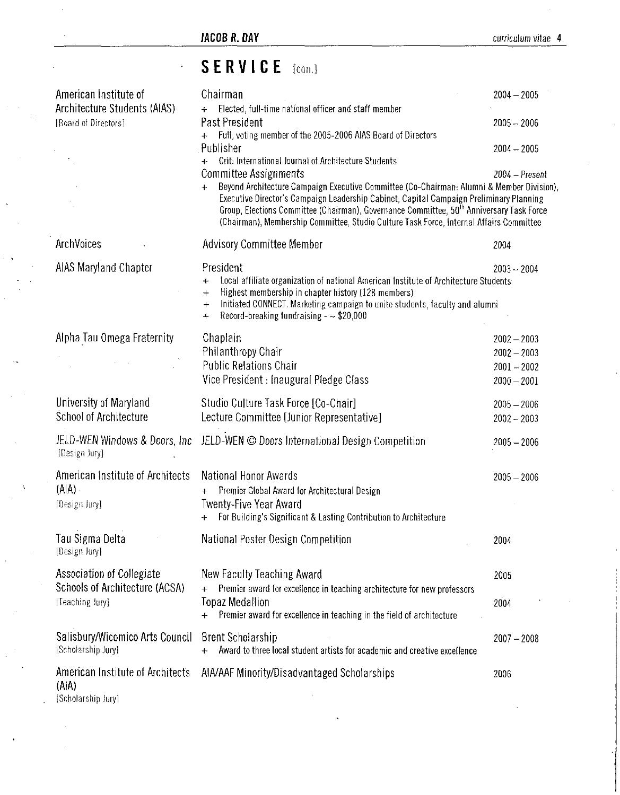$\hat{\mathcal{L}}$ 

## SERVICE [con.]

| American Institute of                                           | Chairman                                                                                                                                                                                                                                                                                   | $2004 - 2005$  |
|-----------------------------------------------------------------|--------------------------------------------------------------------------------------------------------------------------------------------------------------------------------------------------------------------------------------------------------------------------------------------|----------------|
| Architecture Students (AIAS)                                    | + Elected, full-time national officer and staff member                                                                                                                                                                                                                                     |                |
| [Board of Directors]                                            | Past President<br>Full, voting member of the 2005-2006 AIAS Board of Directors                                                                                                                                                                                                             | $2005 - 2006$  |
|                                                                 | Publisher                                                                                                                                                                                                                                                                                  | $2004 - 2005$  |
|                                                                 | Crit: International Journal of Architecture Students                                                                                                                                                                                                                                       |                |
|                                                                 | Committee Assignments<br>Beyond Architecture Campaign Executive Committee (Co-Chairman: Alumni & Member Division),                                                                                                                                                                         | 2004 - Present |
|                                                                 | Executive Director's Campaign Leadership Cabinet, Capital Campaign Preliminary Planning<br>Group, Elections Committee (Chairman), Governance Committee, 50 <sup>th</sup> Anniversary Task Force<br>(Chairman), Membership Committee, Studio Culture Task Force, Internal Affairs Committee |                |
| ArchVoices                                                      | <b>Advisory Committee Member</b>                                                                                                                                                                                                                                                           | 2004           |
| <b>AIAS Maryland Chapter</b>                                    | President                                                                                                                                                                                                                                                                                  | $2003 - 2004$  |
|                                                                 | Local affiliate organization of national American Institute of Architecture Students<br>$\ddot{}$<br>Highest membership in chapter history (128 members)<br>$\ddot{}$<br>Initiated CONNECT. Marketing campaign to unite students, faculty and alumni<br>$\div$                             |                |
|                                                                 | Record-breaking fundraising $ \approx$ \$20,000<br>$\div$                                                                                                                                                                                                                                  |                |
| Alpha Tau Omega Fraternity                                      | Chaplain                                                                                                                                                                                                                                                                                   | $2002 - 2003$  |
|                                                                 | Philanthropy Chair                                                                                                                                                                                                                                                                         | $2002 - 2003$  |
|                                                                 | <b>Public Relations Chair</b>                                                                                                                                                                                                                                                              | $2001 - 2002$  |
|                                                                 | Vice President : Inaugural Pledge Class                                                                                                                                                                                                                                                    | $2000 - 2001$  |
| University of Maryland                                          | Studio Culture Task Force [Co-Chair]                                                                                                                                                                                                                                                       | $2005 - 2006$  |
| School of Architecture                                          | Lecture Committee [Junior Representative]                                                                                                                                                                                                                                                  | $2002 - 2003$  |
| JELD-WEN Windows & Doors, Inc.<br>[Design Jury]                 | JELD-WEN © Doors International Design Competition                                                                                                                                                                                                                                          | $2005 - 2006$  |
| American Institute of Architects                                | National Honor Awards                                                                                                                                                                                                                                                                      | $2005 - 2006$  |
| (A A)                                                           | Premier Global Award for Architectural Design                                                                                                                                                                                                                                              |                |
| [Design Jury]                                                   | Twenty-Five Year Award<br>For Building's Significant & Lasting Contribution to Architecture<br>$+$                                                                                                                                                                                         |                |
| <b>Tau Sigma Delta</b><br>[Design Jury]                         | National Poster Design Competition                                                                                                                                                                                                                                                         | 2004           |
| Association of Collegiate                                       | New Faculty Teaching Award                                                                                                                                                                                                                                                                 | 2005           |
| Schools of Architecture (ACSA)                                  | Premier award for excellence in teaching architecture for new professors                                                                                                                                                                                                                   |                |
| [Teaching Jury]                                                 | <b>Topaz Medallion</b><br>Premier award for excellence in teaching in the field of architecture                                                                                                                                                                                            | 2004           |
| Salisbury/Wicomico Arts Council<br>[Scholarship Jury]           | <b>Brent Scholarship</b><br>Award to three local student artists for academic and creative excellence<br>$+$                                                                                                                                                                               | $2007 - 2008$  |
| American Institute of Architects<br>(AIA)<br>[Scholarship Jury] | AIA/AAF Minority/Disadvantaged Scholarships                                                                                                                                                                                                                                                | 2006           |